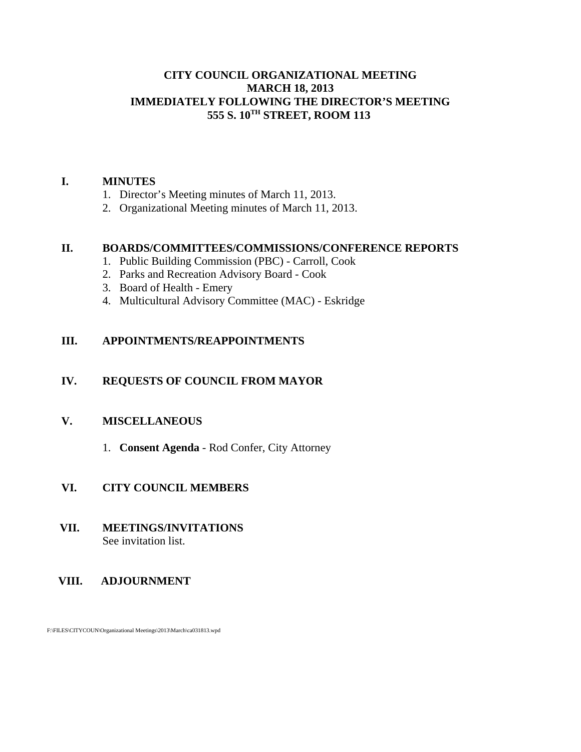### **CITY COUNCIL ORGANIZATIONAL MEETING MARCH 18, 2013 IMMEDIATELY FOLLOWING THE DIRECTOR'S MEETING 555 S. 10TH STREET, ROOM 113**

#### **I. MINUTES**

- 1. Director's Meeting minutes of March 11, 2013.
- 2. Organizational Meeting minutes of March 11, 2013.

#### **II. BOARDS/COMMITTEES/COMMISSIONS/CONFERENCE REPORTS**

- 1. Public Building Commission (PBC) Carroll, Cook
- 2. Parks and Recreation Advisory Board Cook
- 3. Board of Health Emery
- 4. Multicultural Advisory Committee (MAC) Eskridge

### **III. APPOINTMENTS/REAPPOINTMENTS**

### **IV. REQUESTS OF COUNCIL FROM MAYOR**

### **V. MISCELLANEOUS**

1. **Consent Agenda** - Rod Confer, City Attorney

### **VI. CITY COUNCIL MEMBERS**

- **VII. MEETINGS/INVITATIONS** See invitation list.
- **VIII. ADJOURNMENT**

F:\FILES\CITYCOUN\Organizational Meetings\2013\March\ca031813.wpd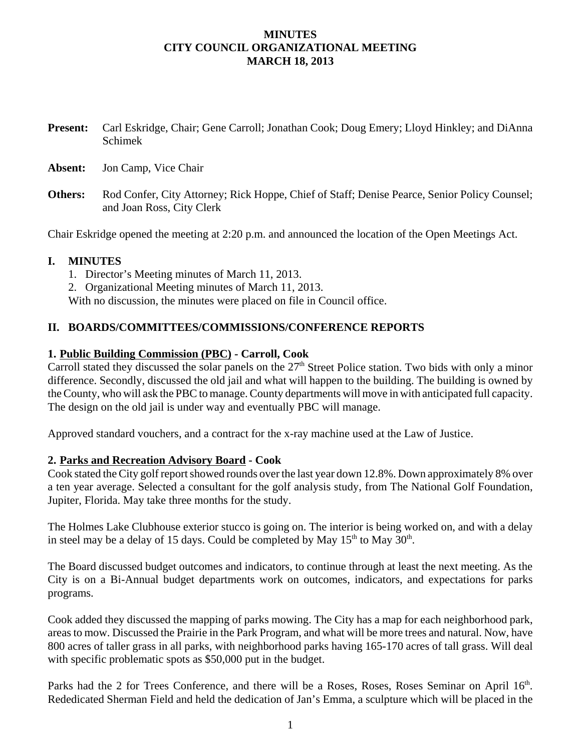### **MINUTES CITY COUNCIL ORGANIZATIONAL MEETING MARCH 18, 2013**

**Present:** Carl Eskridge, Chair; Gene Carroll; Jonathan Cook; Doug Emery; Lloyd Hinkley; and DiAnna Schimek

**Absent:** Jon Camp, Vice Chair

**Others:** Rod Confer, City Attorney; Rick Hoppe, Chief of Staff; Denise Pearce, Senior Policy Counsel; and Joan Ross, City Clerk

Chair Eskridge opened the meeting at 2:20 p.m. and announced the location of the Open Meetings Act.

#### **I. MINUTES**

- 1. Director's Meeting minutes of March 11, 2013.
- 2. Organizational Meeting minutes of March 11, 2013.

With no discussion, the minutes were placed on file in Council office.

#### **II. BOARDS/COMMITTEES/COMMISSIONS/CONFERENCE REPORTS**

#### **1. Public Building Commission (PBC) - Carroll, Cook**

Carroll stated they discussed the solar panels on the  $27<sup>th</sup>$  Street Police station. Two bids with only a minor difference. Secondly, discussed the old jail and what will happen to the building. The building is owned by the County, who will ask the PBC to manage. County departments will move in with anticipated full capacity. The design on the old jail is under way and eventually PBC will manage.

Approved standard vouchers, and a contract for the x-ray machine used at the Law of Justice.

#### **2. Parks and Recreation Advisory Board - Cook**

Cook stated the City golf report showed rounds over the last year down 12.8%. Down approximately 8% over a ten year average. Selected a consultant for the golf analysis study, from The National Golf Foundation, Jupiter, Florida. May take three months for the study.

The Holmes Lake Clubhouse exterior stucco is going on. The interior is being worked on, and with a delay in steel may be a delay of 15 days. Could be completed by May  $15<sup>th</sup>$  to May  $30<sup>th</sup>$ .

The Board discussed budget outcomes and indicators, to continue through at least the next meeting. As the City is on a Bi-Annual budget departments work on outcomes, indicators, and expectations for parks programs.

Cook added they discussed the mapping of parks mowing. The City has a map for each neighborhood park, areas to mow. Discussed the Prairie in the Park Program, and what will be more trees and natural. Now, have 800 acres of taller grass in all parks, with neighborhood parks having 165-170 acres of tall grass. Will deal with specific problematic spots as \$50,000 put in the budget.

Parks had the 2 for Trees Conference, and there will be a Roses, Roses, Roses Seminar on April 16<sup>th</sup>. Rededicated Sherman Field and held the dedication of Jan's Emma, a sculpture which will be placed in the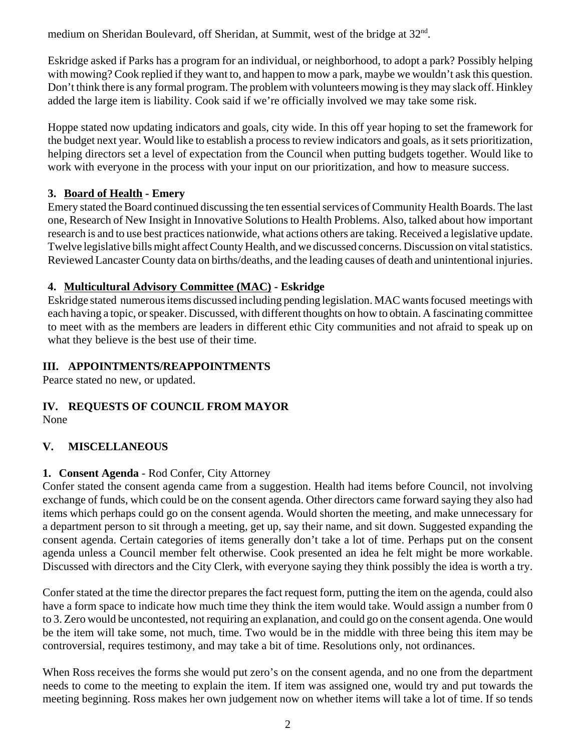medium on Sheridan Boulevard, off Sheridan, at Summit, west of the bridge at 32nd.

Eskridge asked if Parks has a program for an individual, or neighborhood, to adopt a park? Possibly helping with mowing? Cook replied if they want to, and happen to mow a park, maybe we wouldn't ask this question. Don't think there is any formal program. The problem with volunteers mowing is they may slack off. Hinkley added the large item is liability. Cook said if we're officially involved we may take some risk.

Hoppe stated now updating indicators and goals, city wide. In this off year hoping to set the framework for the budget next year. Would like to establish a process to review indicators and goals, as it sets prioritization, helping directors set a level of expectation from the Council when putting budgets together. Would like to work with everyone in the process with your input on our prioritization, and how to measure success.

# **3. Board of Health - Emery**

Emery stated the Board continued discussing the ten essential services of Community Health Boards. The last one, Research of New Insight in Innovative Solutions to Health Problems. Also, talked about how important research is and to use best practices nationwide, what actions others are taking. Received a legislative update. Twelve legislative bills might affect County Health, and we discussed concerns. Discussion on vital statistics. Reviewed Lancaster County data on births/deaths, and the leading causes of death and unintentional injuries.

# **4. Multicultural Advisory Committee (MAC) - Eskridge**

Eskridge stated numerous items discussed including pending legislation. MAC wants focused meetings with each having a topic, or speaker. Discussed, with different thoughts on how to obtain. A fascinating committee to meet with as the members are leaders in different ethic City communities and not afraid to speak up on what they believe is the best use of their time.

# **III. APPOINTMENTS/REAPPOINTMENTS**

Pearce stated no new, or updated.

# **IV. REQUESTS OF COUNCIL FROM MAYOR**

None

# **V. MISCELLANEOUS**

# **1. Consent Agenda** - Rod Confer, City Attorney

Confer stated the consent agenda came from a suggestion. Health had items before Council, not involving exchange of funds, which could be on the consent agenda. Other directors came forward saying they also had items which perhaps could go on the consent agenda. Would shorten the meeting, and make unnecessary for a department person to sit through a meeting, get up, say their name, and sit down. Suggested expanding the consent agenda. Certain categories of items generally don't take a lot of time. Perhaps put on the consent agenda unless a Council member felt otherwise. Cook presented an idea he felt might be more workable. Discussed with directors and the City Clerk, with everyone saying they think possibly the idea is worth a try.

Confer stated at the time the director prepares the fact request form, putting the item on the agenda, could also have a form space to indicate how much time they think the item would take. Would assign a number from 0 to 3. Zero would be uncontested, not requiring an explanation, and could go on the consent agenda. One would be the item will take some, not much, time. Two would be in the middle with three being this item may be controversial, requires testimony, and may take a bit of time. Resolutions only, not ordinances.

When Ross receives the forms she would put zero's on the consent agenda, and no one from the department needs to come to the meeting to explain the item. If item was assigned one, would try and put towards the meeting beginning. Ross makes her own judgement now on whether items will take a lot of time. If so tends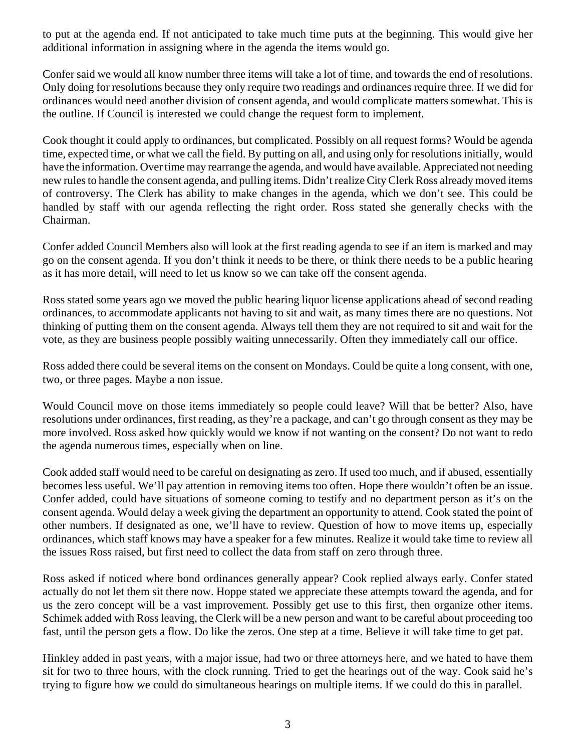to put at the agenda end. If not anticipated to take much time puts at the beginning. This would give her additional information in assigning where in the agenda the items would go.

Confer said we would all know number three items will take a lot of time, and towards the end of resolutions. Only doing for resolutions because they only require two readings and ordinances require three. If we did for ordinances would need another division of consent agenda, and would complicate matters somewhat. This is the outline. If Council is interested we could change the request form to implement.

Cook thought it could apply to ordinances, but complicated. Possibly on all request forms? Would be agenda time, expected time, or what we call the field. By putting on all, and using only for resolutions initially, would have the information. Over time may rearrange the agenda, and would have available. Appreciated not needing new rules to handle the consent agenda, and pulling items. Didn't realize City Clerk Ross already moved items of controversy. The Clerk has ability to make changes in the agenda, which we don't see. This could be handled by staff with our agenda reflecting the right order. Ross stated she generally checks with the Chairman.

Confer added Council Members also will look at the first reading agenda to see if an item is marked and may go on the consent agenda. If you don't think it needs to be there, or think there needs to be a public hearing as it has more detail, will need to let us know so we can take off the consent agenda.

Ross stated some years ago we moved the public hearing liquor license applications ahead of second reading ordinances, to accommodate applicants not having to sit and wait, as many times there are no questions. Not thinking of putting them on the consent agenda. Always tell them they are not required to sit and wait for the vote, as they are business people possibly waiting unnecessarily. Often they immediately call our office.

Ross added there could be several items on the consent on Mondays. Could be quite a long consent, with one, two, or three pages. Maybe a non issue.

Would Council move on those items immediately so people could leave? Will that be better? Also, have resolutions under ordinances, first reading, as they're a package, and can't go through consent as they may be more involved. Ross asked how quickly would we know if not wanting on the consent? Do not want to redo the agenda numerous times, especially when on line.

Cook added staff would need to be careful on designating as zero. If used too much, and if abused, essentially becomes less useful. We'll pay attention in removing items too often. Hope there wouldn't often be an issue. Confer added, could have situations of someone coming to testify and no department person as it's on the consent agenda. Would delay a week giving the department an opportunity to attend. Cook stated the point of other numbers. If designated as one, we'll have to review. Question of how to move items up, especially ordinances, which staff knows may have a speaker for a few minutes. Realize it would take time to review all the issues Ross raised, but first need to collect the data from staff on zero through three.

Ross asked if noticed where bond ordinances generally appear? Cook replied always early. Confer stated actually do not let them sit there now. Hoppe stated we appreciate these attempts toward the agenda, and for us the zero concept will be a vast improvement. Possibly get use to this first, then organize other items. Schimek added with Ross leaving, the Clerk will be a new person and want to be careful about proceeding too fast, until the person gets a flow. Do like the zeros. One step at a time. Believe it will take time to get pat.

Hinkley added in past years, with a major issue, had two or three attorneys here, and we hated to have them sit for two to three hours, with the clock running. Tried to get the hearings out of the way. Cook said he's trying to figure how we could do simultaneous hearings on multiple items. If we could do this in parallel.